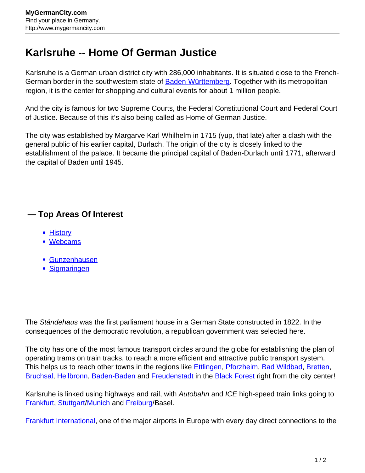## **Karlsruhe -- Home Of German Justice**

Karlsruhe is a German urban district city with 286,000 inhabitants. It is situated close to the French-German border in the southwestern state of **Baden-Württemberg**. Together with its metropolitan region, it is the center for shopping and cultural events for about 1 million people.

And the city is famous for two Supreme Courts, the Federal Constitutional Court and Federal Court of Justice. Because of this it's also being called as Home of German Justice.

The city was established by Margarve Karl Whilhelm in 1715 (yup, that late) after a clash with the general public of his earlier capital, Durlach. The origin of the city is closely linked to the establishment of the palace. It became the principal capital of Baden-Durlach until 1771, afterward the capital of Baden until 1945.

## **— Top Areas Of Interest**

- **[History](http://www.mygermancity.com/leipzig-history)**
- [Webcams](http://www.mygermancity.com/neustadt-holstein-webcams)
- [Gunzenhausen](http://www.mygermancity.com/gunzenhausen)
- [Sigmaringen](http://www.mygermancity.com/sigmaringen)

The Ständehaus was the first parliament house in a German State constructed in 1822. In the consequences of the democratic revolution, a republican government was selected here.

The city has one of the most famous transport circles around the globe for establishing the plan of operating trams on train tracks, to reach a more efficient and attractive public transport system. This helps us to reach other towns in the regions like **Ettlingen, [Pforzheim,](http://www.mygermancity.com/pforzheim) [Bad Wildbad](http://www.mygermancity.com/bad-wildbad), Bretten**, [Bruchsal](http://www.mygermancity.com/bruchsal), [Heilbronn](http://www.mygermancity.com/heilbronn), [Baden-Baden](http://www.mygermancity.com/baden-baden) and [Freudenstadt](http://www.mygermancity.com/freudenstadt) in the [Black Forest](http://www.mygermancity.com/black-forest) right from the city center!

Karlsruhe is linked using highways and rail, with Autobahn and ICE high-speed train links going to [Frankfurt,](http://www.mygermancity.com/frankfurt) [Stuttgart/](http://www.mygermancity.com/stuttgart)[Munich](http://www.mygermancity.com/munich) and [Freiburg/](http://www.mygermancity.com/freiburg)Basel.

[Frankfurt International,](http://www.mygermancity.com/frankfurt-airport) one of the major airports in Europe with every day direct connections to the